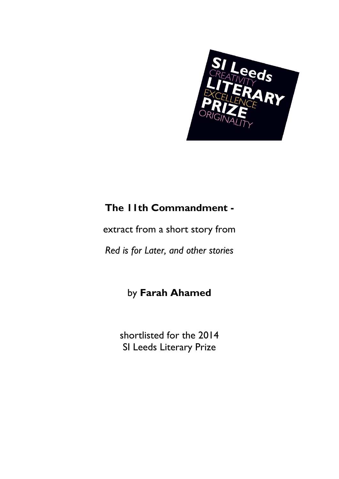

## **The 11th Commandment -**

extract from a short story from

*Red is for Later, and other stories*

## by **Farah Ahamed**

shortlisted for the 2014 SI Leeds Literary Prize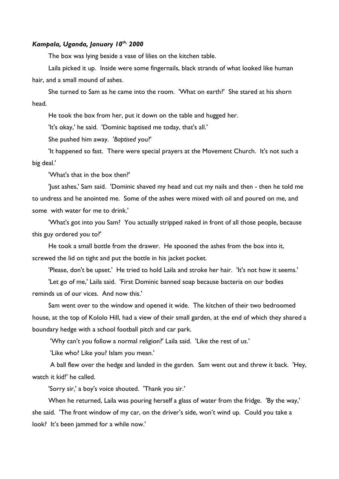## *Kampala, Uganda, January 10th, 2000*

The box was lying beside a vase of lilies on the kitchen table.

Laila picked it up. Inside were some fingernails, black strands of what looked like human hair, and a small mound of ashes.

She turned to Sam as he came into the room. 'What on earth?' She stared at his shorn head.

He took the box from her, put it down on the table and hugged her.

'It's okay,' he said. 'Dominic baptised me today, that's all.'

She pushed him away. '*Baptised* you?'

'It happened so fast. There were special prayers at the Movement Church. It's not such a big deal.'

'What's that in the box then?'

'Just ashes,' Sam said. 'Dominic shaved my head and cut my nails and then - then he told me to undress and he anointed me. Some of the ashes were mixed with oil and poured on me, and some with water for me to drink.'

'What's got into you Sam? You actually stripped naked in front of all those people, because this guy ordered you to?'

He took a small bottle from the drawer. He spooned the ashes from the box into it, screwed the lid on tight and put the bottle in his jacket pocket.

'Please, don't be upset.' He tried to hold Laila and stroke her hair. 'It's not how it seems.'

'Let go of me,' Laila said. 'First Dominic banned soap because bacteria on our bodies reminds us of our vices. And now this.'

Sam went over to the window and opened it wide. The kitchen of their two bedroomed house, at the top of Kololo Hill, had a view of their small garden, at the end of which they shared a boundary hedge with a school football pitch and car park.

'Why can't you follow a normal religion?' Laila said. 'Like the rest of us.'

'Like who? Like you? Islam you mean.'

A ball flew over the hedge and landed in the garden. Sam went out and threw it back. 'Hey, watch it kid!' he called.

'Sorry sir,' a boy's voice shouted. 'Thank you sir.'

When he returned, Laila was pouring herself a glass of water from the fridge. 'By the way,' she said. 'The front window of my car, on the driver's side, won't wind up. Could you take a look? It's been jammed for a while now.'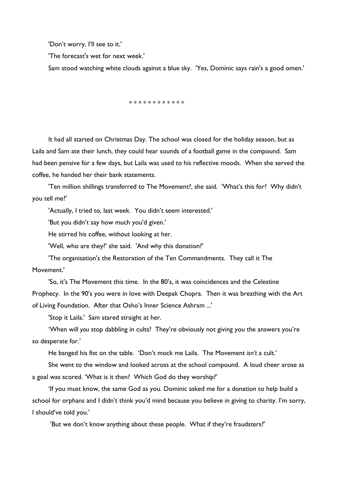'Don't worry, I'll see to it.'

'The forecast's wet for next week.'

Sam stood watching white clouds against a blue sky. 'Yes, Dominic says rain's a good omen.'

\* \* \* \* \* \* \* \* \* \* \*

It had all started on Christmas Day. The school was closed for the holiday season, but as Laila and Sam ate their lunch, they could hear sounds of a football game in the compound. Sam had been pensive for a few days, but Laila was used to his reflective moods. When she served the coffee, he handed her their bank statements.

'Ten million shillings transferred to The Movement?, she said. 'What's this for? Why didn't you tell me?'

'Actually, I tried to, last week. You didn't seem interested.'

'But you didn't say how much you'd given.'

He stirred his coffee, without looking at her.

'Well, who are they?' she said. 'And why this donation?'

'The organisation's the Restoration of the Ten Commandments. They call it The Movement.'

'So, it's The Movement this time. In the 80's, it was coincidences and the Celestine Prophecy. In the 90's you were in love with Deepak Chopra. Then it was breathing with the Art of Living Foundation. After that Osho's Inner Science Ashram ...'

'Stop it Laila.' Sam stared straight at her.

'When will *you* stop dabbling in cults? They're obviously not giving you the answers you're so desperate for.'

He banged his fist on the table. 'Don't mock me Laila. The Movement *isn't* a cult.'

She went to the window and looked across at the school compound. A loud cheer arose as a goal was scored. 'What is it then? Which God do they worship?'

'If you must know, the same God as you. Dominic asked me for a donation to help build a school for orphans and I didn't think you'd mind because you believe in giving to charity. I'm sorry, I should've told you.'

'But we don't know anything about these people. What if they're fraudsters?'